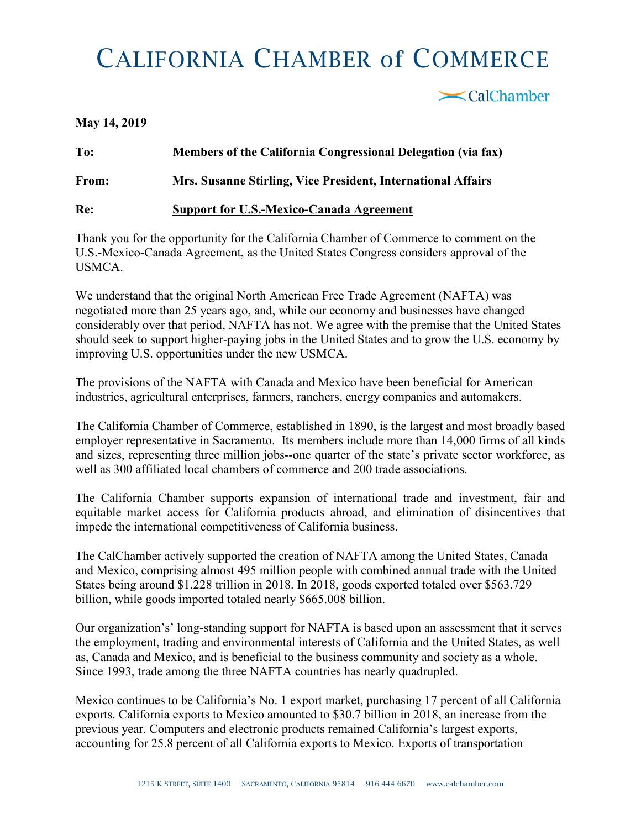## **CALIFORNIA CHAMBER of COMMERCE**

<br />
CalChamber

## **May 14, 2019**

**To: Members of the California Congressional Delegation (via fax) From: Mrs. Susanne Stirling, Vice President, International Affairs Re: Support for U.S.-Mexico-Canada Agreement**

Thank you for the opportunity for the California Chamber of Commerce to comment on the U.S.-Mexico-Canada Agreement, as the United States Congress considers approval of the USMCA.

We understand that the original North American Free Trade Agreement (NAFTA) was negotiated more than 25 years ago, and, while our economy and businesses have changed considerably over that period, NAFTA has not. We agree with the premise that the United States should seek to support higher-paying jobs in the United States and to grow the U.S. economy by improving U.S. opportunities under the new USMCA.

The provisions of the NAFTA with Canada and Mexico have been beneficial for American industries, agricultural enterprises, farmers, ranchers, energy companies and automakers.

The California Chamber of Commerce, established in 1890, is the largest and most broadly based employer representative in Sacramento. Its members include more than 14,000 firms of all kinds and sizes, representing three million jobs--one quarter of the state's private sector workforce, as well as 300 affiliated local chambers of commerce and 200 trade associations.

The California Chamber supports expansion of international trade and investment, fair and equitable market access for California products abroad, and elimination of disincentives that impede the international competitiveness of California business.

The CalChamber actively supported the creation of NAFTA among the United States, Canada and Mexico, comprising almost 495 million people with combined annual trade with the United States being around \$1.228 trillion in 2018. In 2018, goods exported totaled over \$563.729 billion, while goods imported totaled nearly \$665.008 billion.

Our organization's' long-standing support for NAFTA is based upon an assessment that it serves the employment, trading and environmental interests of California and the United States, as well as, Canada and Mexico, and is beneficial to the business community and society as a whole. Since 1993, trade among the three NAFTA countries has nearly quadrupled.

Mexico continues to be California's No. 1 export market, purchasing 17 percent of all California exports. California exports to Mexico amounted to \$30.7 billion in 2018, an increase from the previous year. Computers and electronic products remained California's largest exports, accounting for 25.8 percent of all California exports to Mexico. Exports of transportation